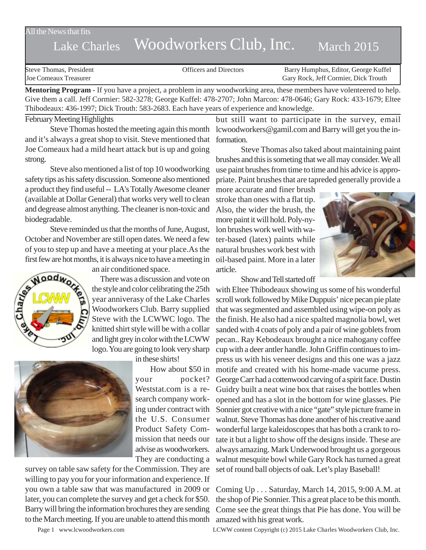All the News that fits

# Lake Charles Woodworkers Club, Inc. March 2015

| Steve Thomas. President | <b>Officers and Directors</b> | Barry Humphus, Editor, George Kuffel |
|-------------------------|-------------------------------|--------------------------------------|
| Joe Comeaux Treasurer   |                               | Gary Rock, Jeff Cormier, Dick Trouth |

**Mentoring Program** - If you have a project, a problem in any woodworking area, these members have volenteered to help. Give them a call. Jeff Cormier: 582-3278; George Kuffel: 478-2707; John Marcon: 478-0646; Gary Rock: 433-1679; Eltee Thibodeaux: 436-1997; Dick Trouth: 583-2683. Each have years of experience and knowledge.

#### February Meeting Highlights

Steve Thomas hosted the meeting again this month and it's always a great shop to visit. Steve mentioned that Joe Comeaux had a mild heart attack but is up and going strong.

Steve also mentioned a list of top 10 woodworking safety tips as his safety discussion. Someone also mentioned a product they find useful -- LA's Totally Awesome cleaner (available at Dollar General) that works very well to clean and degrease almost anything. The cleaner is non-toxic and biodegradable.

Steve reminded us that the months of June, August, October and November are still open dates. We need a few of you to step up and have a meeting at your place.As the



an air conditioned space.

first few are hot months, it is always nice to have a meeting in<br>an air conditioned space.<br>There was a discussion and vote on<br>the style and color celibrating the  $25$ . There was a discussion and vote on the style and color celibrating the 25th year anniverasy of the Lake Charles Woodworkers Club. Barry supplied Steve with the LCWWC logo. The knitted shirt style will be with a collar and light grey in color with the LCWW logo. You are going to look very sharp

in these shirts!



your pocket? Weststat.com is a research company working under contract with the U.S. Consumer Product Safety Commission that needs our advise as woodworkers. They are conducting a

survey on table saw safety for the Commission. They are willing to pay you for your information and experience. If you own a table saw that was manufactured in 2009 or later, you can complete the survey and get a check for \$50. Barry will bring the information brochures they are sending to the March meeting. If you are unable to attend this month

but still want to participate in the survey, email lcwoodworkers@gamil.com and Barry will get you the information.

Steve Thomas also taked about maintaining paint brushes and this is someting that we all may consider. We all use paint brushes from time to time and his advice is appropriate. Paint brushes that are tapreded generally provide a

more accurate and finer brush stroke than ones with a flat tip. Also, the wider the brush, the more paint it will hold. Poly-nylon brushes work well with water-based (latex) paints while natural brushes work best with oil-based paint. More in a later article.

Show and Tell started off



How about \$50 in motife and created with his home-made vacume press. with Eltee Thibodeaux showing us some of his wonderful scroll work followed by Mike Duppuis' nice pecan pie plate that was segmented and assembled using wipe-on poly as the finish. He also had a nice spalted magnolia bowl, wet sanded with 4 coats of poly and a pair of wine goblets from pecan.. Ray Kebodeaux brought a nice mahogany coffee cup with a deer antler handle. John Griffin continues to impress us with his veneer designs and this one was a jazz George Carr had a cottenwood carving of a spirit face. Dustin Guidry built a neat wine box that raises the bottles when opened and has a slot in the bottom for wine glasses. Pie Sonnier got creative with a nice "gate" style picture frame in walnut. Steve Thomas has done another of his creative aand wonderful large kaleidoscopes that has both a crank to rotate it but a light to show off the designs inside. These are always amazing. Mark Underwood brought us a gorgeous walnut mesquite bowl while Gary Rock has turned a great set of round ball objects of oak. Let's play Baseball!

> Coming Up . . . Saturday, March 14, 2015, 9:00 A.M. at the shop of Pie Sonnier. This a great place to be this month. Come see the great things that Pie has done. You will be amazed with his great work.

Page 1 www.lcwoodworkers.com LCWW content Copyright (c) 2015 Lake Charles Woodworkers Club, Inc.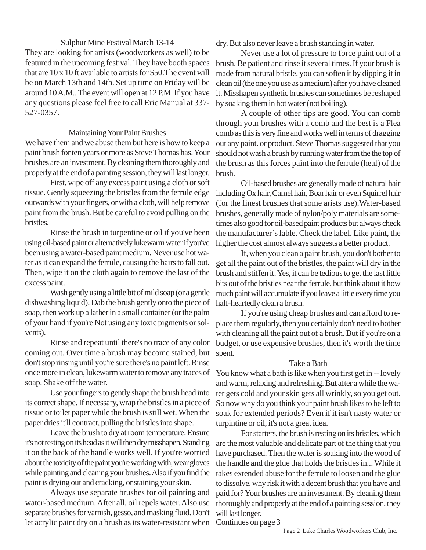## Sulphur Mine Festival March 13-14

They are looking for artists (woodworkers as well) to be featured in the upcoming festival. They have booth spaces that are 10 x 10 ft available to artists for \$50.The event will be on March 13th and 14th. Set up time on Friday will be around 10 A.M.. The event will open at 12 P.M. If you have any questions please feel free to call Eric Manual at 337- 527-0357.

### Maintaining Your Paint Brushes

We have them and we abuse them but here is how to keep a paint brush for ten years or more as Steve Thomas has. Your brushes are an investment. By cleaning them thoroughly and properly at the end of a painting session, they will last longer.

First, wipe off any excess paint using a cloth or soft tissue. Gently squeezing the bristles from the ferrule edge outwards with your fingers, or with a cloth, will help remove paint from the brush. But be careful to avoid pulling on the bristles.

Rinse the brush in turpentine or oil if you've been using oil-based paint or alternatively lukewarm water if you've been using a water-based paint medium. Never use hot water as it can expand the ferrule, causing the hairs to fall out. Then, wipe it on the cloth again to remove the last of the excess paint.

Wash gently using a little bit of mild soap (or a gentle dishwashing liquid). Dab the brush gently onto the piece of soap, then work up a lather in a small container (or the palm of your hand if you're Not using any toxic pigments or solvents).

Rinse and repeat until there's no trace of any color coming out. Over time a brush may become stained, but don't stop rinsing until you're sure there's no paint left. Rinse once more in clean, lukewarm water to remove any traces of soap. Shake off the water.

Use your fingers to gently shape the brush head into its correct shape. If necessary, wrap the bristles in a piece of tissue or toilet paper while the brush is still wet. When the paper dries it'll contract, pulling the bristles into shape.

Leave the brush to dry at room temperature. Ensure it's not resting on its head as it will then dry misshapen. Standing it on the back of the handle works well. If you're worried about the toxicity of the paint you're working with, wear gloves while painting and cleaning your brushes. Also if you find the paint is drying out and cracking, or staining your skin.

Always use separate brushes for oil painting and water-based medium. After all, oil repels water. Also use separate brushes for varnish, gesso, and masking fluid. Don't let acrylic paint dry on a brush as its water-resistant when

dry. But also never leave a brush standing in water.

Never use a lot of pressure to force paint out of a brush. Be patient and rinse it several times. If your brush is made from natural bristle, you can soften it by dipping it in clean oil (the one you use as a medium) after you have cleaned it. Misshapen synthetic brushes can sometimes be reshaped by soaking them in hot water (not boiling).

A couple of other tips are good. You can comb through your brushes with a comb and the best is a Flea comb as this is very fine and works well in terms of dragging out any paint. or product. Steve Thomas suggested that you should not wash a brush by running water from the the top of the brush as this forces paint into the ferrule (heal) of the brush.

Oil-based brushes are generally made of natural hair including Ox hair, Camel hair, Boar hair or even Squirrel hair (for the finest brushes that some arists use).Water-based brushes, generally made of nylon/poly materials are sometimes also good for oil-based paint products but always check the manufacturer's lable. Check the label. Like paint, the higher the cost almost always suggests a better product.

If, when you clean a paint brush, you don't bother to get all the paint out of the bristles, the paint will dry in the brush and stiffen it. Yes, it can be tedious to get the last little bits out of the bristles near the ferrule, but think about it how much paint will accumulate if you leave a little every time you half-heartedly clean a brush.

If you're using cheap brushes and can afford to replace them regularly, then you certainly don't need to bother with cleaning all the paint out of a brush. But if you're on a budget, or use expensive brushes, then it's worth the time spent.

## Take a Bath

You know what a bath is like when you first get in -- lovely and warm, relaxing and refreshing. But after a while the water gets cold and your skin gets all wrinkly, so you get out. So now why do you think your paint brush likes to be left to soak for extended periods? Even if it isn't nasty water or turpintine or oil, it's not a great idea.

For starters, the brush is resting on its bristles, which are the most valuable and delicate part of the thing that you have purchased. Then the water is soaking into the wood of the handle and the glue that holds the bristles in... While it takes extended abuse for the ferrule to loosen and the glue to dissolve, why risk it with a decent brush that you have and paid for? Your brushes are an investment. By cleaning them thoroughly and properly at the end of a painting session, they will last longer.

Continues on page 3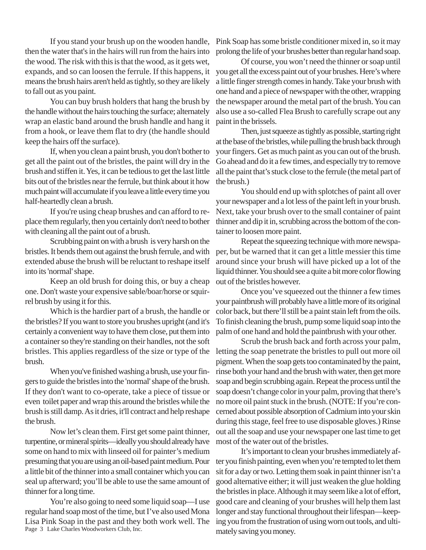If you stand your brush up on the wooden handle, then the water that's in the hairs will run from the hairs into the wood. The risk with this is that the wood, as it gets wet, expands, and so can loosen the ferrule. If this happens, it means the brush hairs aren't held as tightly, so they are likely to fall out as you paint.

You can buy brush holders that hang the brush by the handle without the hairs touching the surface; alternately wrap an elastic band around the brush handle and hang it from a hook, or leave them flat to dry (the handle should keep the hairs off the surface).

If, when you clean a paint brush, you don't bother to get all the paint out of the bristles, the paint will dry in the brush and stiffen it. Yes, it can be tedious to get the last little bits out of the bristles near the ferrule, but think about it how much paint will accumulate if you leave a little every time you half-heartedly clean a brush.

If you're using cheap brushes and can afford to replace them regularly, then you certainly don't need to bother with cleaning all the paint out of a brush.

Scrubbing paint on with a brush is very harsh on the bristles. It bends them out against the brush ferrule, and with extended abuse the brush will be reluctant to reshape itself into its 'normal' shape.

Keep an old brush for doing this, or buy a cheap one. Don't waste your expensive sable/boar/horse or squirrel brush by using it for this.

Which is the hardier part of a brush, the handle or the bristles? If you want to store you brushes upright (and it's certainly a convenient way to have them close, put them into a container so they're standing on their handles, not the soft bristles. This applies regardless of the size or type of the brush.

When you've finished washing a brush, use your fingers to guide the bristles into the 'normal' shape of the brush. If they don't want to co-operate, take a piece of tissue or even toilet paper and wrap this around the bristles while the brush is still damp. As it dries, it'll contract and help reshape the brush.

Now let's clean them. First get some paint thinner, turpentine, or mineral spirits—ideally you should already have some on hand to mix with linseed oil for painter's medium presuming that you are using an oil-based paint medium. Pour a little bit of the thinner into a small container which you can seal up afterward; you'll be able to use the same amount of thinner for a long time.

Page 3 Lake Charles Woodworkers Club, Inc. You're also going to need some liquid soap—I use regular hand soap most of the time, but I've also used Mona Lisa Pink Soap in the past and they both work well. The Pink Soap has some bristle conditioner mixed in, so it may prolong the life of your brushes better than regular hand soap.

Of course, you won't need the thinner or soap until you get all the excess paint out of your brushes. Here's where a little finger strength comes in handy. Take your brush with one hand and a piece of newspaper with the other, wrapping the newspaper around the metal part of the brush. You can also use a so-called Flea Brush to carefully scrape out any paint in the brissels.

Then, just squeeze as tightly as possible, starting right at the base of the bristles, while pulling the brush back through your fingers. Get as much paint as you can out of the brush. Go ahead and do it a few times, and especially try to remove all the paint that's stuck close to the ferrule (the metal part of the brush.)

You should end up with splotches of paint all over your newspaper and a lot less of the paint left in your brush. Next, take your brush over to the small container of paint thinner and dip it in, scrubbing across the bottom of the container to loosen more paint.

Repeat the squeezing technique with more newspaper, but be warned that it can get a little messier this time around since your brush will have picked up a lot of the liquid thinner. You should see a quite a bit more color flowing out of the bristles however.

Once you've squeezed out the thinner a few times your paintbrush will probably have a little more of its original color back, but there'll still be a paint stain left from the oils. To finish cleaning the brush, pump some liquid soap into the palm of one hand and hold the paintbrush with your other.

Scrub the brush back and forth across your palm, letting the soap penetrate the bristles to pull out more oil pigment. When the soap gets too contaminated by the paint, rinse both your hand and the brush with water, then get more soap and begin scrubbing again. Repeat the process until the soap doesn't change color in your palm, proving that there's no more oil paint stuck in the brush. (NOTE: If you're concerned about possible absorption of Cadmium into your skin during this stage, feel free to use disposable gloves.) Rinse out all the soap and use your newspaper one last time to get most of the water out of the bristles.

It's important to clean your brushes immediately after you finish painting, even when you're tempted to let them sit for a day or two. Letting them soak in paint thinner isn't a good alternative either; it will just weaken the glue holding the bristles in place. Although it may seem like a lot of effort, good care and cleaning of your brushes will help them last longer and stay functional throughout their lifespan—keeping you from the frustration of using worn out tools, and ultimately saving you money.